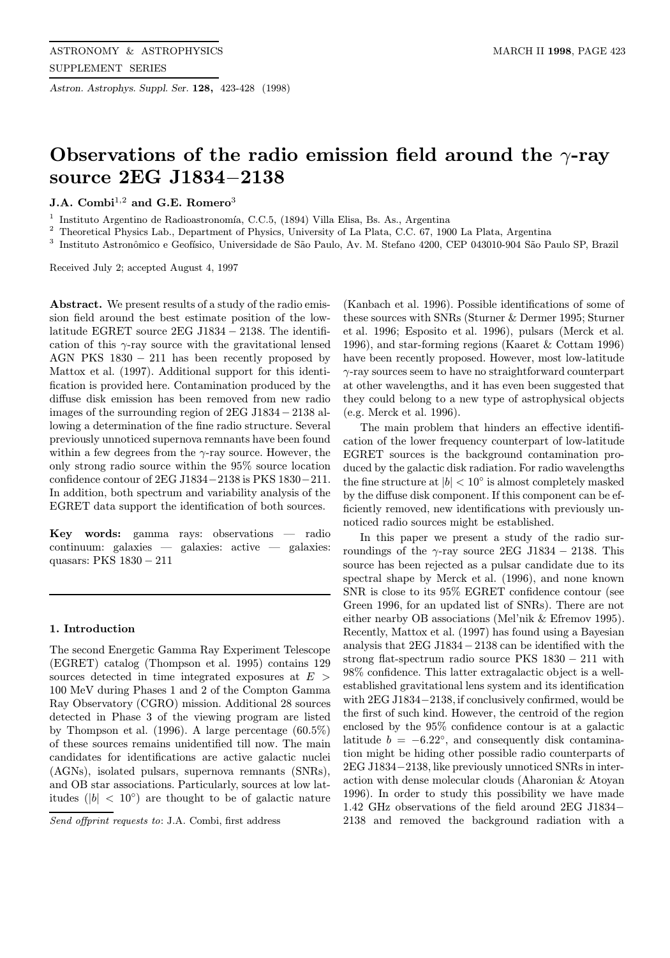Astron. Astrophys. Suppl. Ser. 128, 423-428 (1998)

# Observations of the radio emission field around the  $\gamma$ -ray source 2EG J1834−2138

J.A.  $Combi<sup>1,2</sup>$  and G.E.  $Romero<sup>3</sup>$ 

Instituto Argentino de Radioastronomía, C.C.5, (1894) Villa Elisa, Bs. As., Argentina

<sup>2</sup> Theoretical Physics Lab., Department of Physics, University of La Plata, C.C. 67, 1900 La Plata, Argentina

<sup>3</sup> Instituto Astronômico e Geofísico, Universidade de São Paulo, Av. M. Stefano 4200, CEP 043010-904 São Paulo SP, Brazil

Received July 2; accepted August 4, 1997

Abstract. We present results of a study of the radio emission field around the best estimate position of the lowlatitude EGRET source 2EG J1834 − 2138. The identification of this  $\gamma$ -ray source with the gravitational lensed AGN PKS  $1830 - 211$  has been recently proposed by Mattox et al. (1997). Additional support for this identification is provided here. Contamination produced by the diffuse disk emission has been removed from new radio images of the surrounding region of 2EG J1834− 2138 allowing a determination of the fine radio structure. Several previously unnoticed supernova remnants have been found within a few degrees from the  $\gamma$ -ray source. However, the only strong radio source within the 95% source location confidence contour of 2EG J1834−2138 is PKS 1830−211. In addition, both spectrum and variability analysis of the EGRET data support the identification of both sources.

Key words: gamma rays: observations — radio continuum: galaxies — galaxies: active — galaxies: quasars: PKS 1830 − 211

#### 1. Introduction

The second Energetic Gamma Ray Experiment Telescope (EGRET) catalog (Thompson et al. 1995) contains 129 sources detected in time integrated exposures at  $E >$ 100 MeV during Phases 1 and 2 of the Compton Gamma Ray Observatory (CGRO) mission. Additional 28 sources detected in Phase 3 of the viewing program are listed by Thompson et al. (1996). A large percentage (60.5%) of these sources remains unidentified till now. The main candidates for identifications are active galactic nuclei (AGNs), isolated pulsars, supernova remnants (SNRs), and OB star associations. Particularly, sources at low latitudes ( $|b| < 10°$ ) are thought to be of galactic nature

Send offprint requests to: J.A. Combi, first address

(Kanbach et al. 1996). Possible identifications of some of these sources with SNRs (Sturner & Dermer 1995; Sturner et al. 1996; Esposito et al. 1996), pulsars (Merck et al. 1996), and star-forming regions (Kaaret & Cottam 1996) have been recently proposed. However, most low-latitude γ-ray sources seem to have no straightforward counterpart at other wavelengths, and it has even been suggested that they could belong to a new type of astrophysical objects (e.g. Merck et al. 1996).

The main problem that hinders an effective identification of the lower frequency counterpart of low-latitude EGRET sources is the background contamination produced by the galactic disk radiation. For radio wavelengths the fine structure at  $|b| < 10^\circ$  is almost completely masked by the diffuse disk component. If this component can be efficiently removed, new identifications with previously unnoticed radio sources might be established.

In this paper we present a study of the radio surroundings of the  $\gamma$ -ray source 2EG J1834 – 2138. This source has been rejected as a pulsar candidate due to its spectral shape by Merck et al. (1996), and none known SNR is close to its 95% EGRET confidence contour (see Green 1996, for an updated list of SNRs). There are not either nearby OB associations (Mel'nik & Efremov 1995). Recently, Mattox et al. (1997) has found using a Bayesian analysis that 2EG J1834−2138 can be identified with the strong flat-spectrum radio source PKS 1830 − 211 with 98% confidence. This latter extragalactic object is a wellestablished gravitational lens system and its identification with 2EG J1834−2138, if conclusively confirmed, would be the first of such kind. However, the centroid of the region enclosed by the 95% confidence contour is at a galactic latitude  $b = -6.22^{\circ}$ , and consequently disk contamination might be hiding other possible radio counterparts of 2EG J1834−2138, like previously unnoticed SNRs in interaction with dense molecular clouds (Aharonian & Atoyan 1996). In order to study this possibility we have made 1.42 GHz observations of the field around 2EG J1834− 2138 and removed the background radiation with a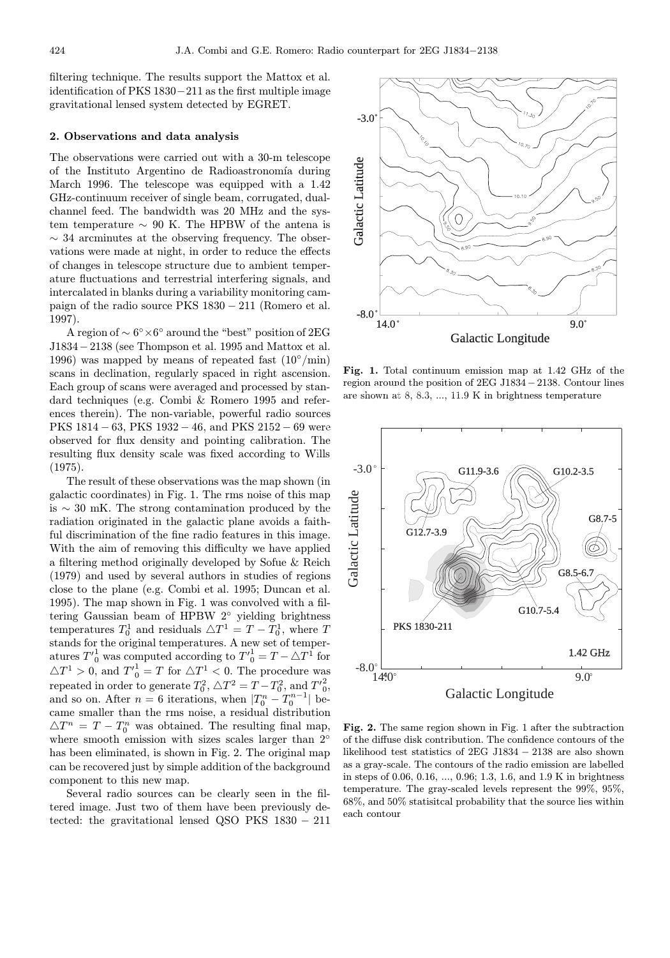filtering technique. The results support the Mattox et al. identification of PKS 1830−211 as the first multiple image gravitational lensed system detected by EGRET.

### 2. Observations and data analysis

The observations were carried out with a 30-m telescope of the Instituto Argentino de Radioastronomía during March 1996. The telescope was equipped with a 1.42 GHz-continuum receiver of single beam, corrugated, dualchannel feed. The bandwidth was 20 MHz and the system temperature ∼ 90 K. The HPBW of the antena is  $\sim$  34 arcminutes at the observing frequency. The observations were made at night, in order to reduce the effects of changes in telescope structure due to ambient temperature fluctuations and terrestrial interfering signals, and intercalated in blanks during a variability monitoring campaign of the radio source PKS 1830 − 211 (Romero et al. 1997).

A region of  $\sim 6^{\circ} \times 6^{\circ}$  around the "best" position of 2EG J1834−2138 (see Thompson et al. 1995 and Mattox et al. 1996) was mapped by means of repeated fast  $(10^{\circ}/\text{min})$ scans in declination, regularly spaced in right ascension. Each group of scans were averaged and processed by standard techniques (e.g. Combi & Romero 1995 and references therein). The non-variable, powerful radio sources PKS 1814 − 63, PKS 1932 − 46, and PKS 2152 − 69 were observed for flux density and pointing calibration. The resulting flux density scale was fixed according to Wills (1975).

The result of these observations was the map shown (in galactic coordinates) in Fig. 1. The rms noise of this map is ∼ 30 mK. The strong contamination produced by the radiation originated in the galactic plane avoids a faithful discrimination of the fine radio features in this image. With the aim of removing this difficulty we have applied a filtering method originally developed by Sofue & Reich (1979) and used by several authors in studies of regions close to the plane (e.g. Combi et al. 1995; Duncan et al. 1995). The map shown in Fig. 1 was convolved with a filtering Gaussian beam of HPBW 2◦ yielding brightness temperatures  $T_0^1$  and residuals  $\triangle T^1 = T - T_0^1$ , where T stands for the original temperatures. A new set of temperatures  $T'_{0}^{1}$  was computed according to  $T'_{0}^{1} = T - \triangle T^{1}$  for  $\triangle T^1 > 0$ , and  $T'^1_0 = T$  for  $\triangle T^1 < 0$ . The procedure was repeated in order to generate  $T_0^2$ ,  $\triangle T^2 = T - T_0^2$ , and  $T'^2$ <sub>0</sub>, and so on. After  $n = 6$  iterations, when  $|T_0^n - T_0^{n-1}|$  became smaller than the rms noise, a residual distribution  $\triangle T^{n} = T - T_{0}^{n}$  was obtained. The resulting final map, where smooth emission with sizes scales larger than 2<sup>°</sup> has been eliminated, is shown in Fig. 2. The original map can be recovered just by simple addition of the background component to this new map.

Several radio sources can be clearly seen in the filtered image. Just two of them have been previously detected: the gravitational lensed QSO PKS 1830 − 211



Fig. 1. Total continuum emission map at 1.42 GHz of the region around the position of 2EG J1834−2138. Contour lines are shown at 8, 8.3, ..., 11.9 K in brightness temperature



Fig. 2. The same region shown in Fig. 1 after the subtraction of the diffuse disk contribution. The confidence contours of the likelihood test statistics of 2EG J1834 − 2138 are also shown as a gray-scale. The contours of the radio emission are labelled in steps of 0.06, 0.16, ..., 0.96; 1.3, 1.6, and 1.9 K in brightness temperature. The gray-scaled levels represent the 99%, 95%, 68%, and 50% statisitcal probability that the source lies within each contour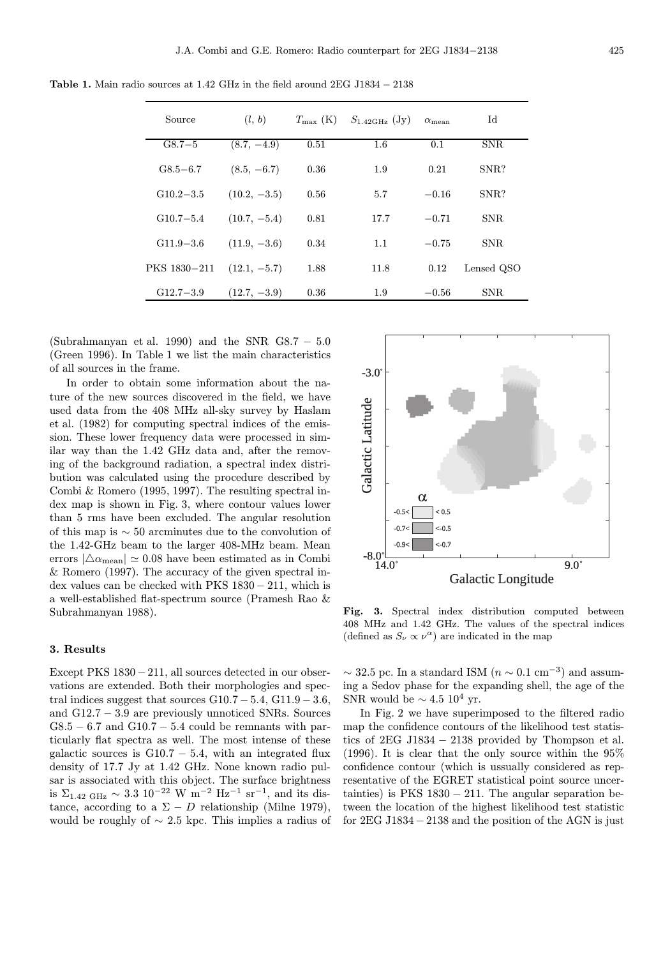| Source        | (l, b)         | $T_{\rm max}$ (K) | $S_{1.42\text{GHz}}$ (Jy) | $\alpha_{\rm mean}$ | Id         |
|---------------|----------------|-------------------|---------------------------|---------------------|------------|
| $G8.7 - 5$    | $(8.7, -4.9)$  | 0.51              | 1.6                       | 0.1                 | <b>SNR</b> |
| $G8.5 - 6.7$  | $(8.5, -6.7)$  | 0.36              | 1.9                       | 0.21                | SNR?       |
| $G10.2 - 3.5$ | $(10.2, -3.5)$ | 0.56              | 5.7                       | $-0.16$             | SNR?       |
| $G10.7 - 5.4$ | $(10.7, -5.4)$ | 0.81              | 17.7                      | $-0.71$             | <b>SNR</b> |
| $G11.9 - 3.6$ | $(11.9, -3.6)$ | 0.34              | 1.1                       | $-0.75$             | <b>SNR</b> |
| PKS 1830-211  | $(12.1, -5.7)$ | 1.88              | 11.8                      | 0.12                | Lensed QSO |
| $G12.7 - 3.9$ | $(12.7, -3.9)$ | 0.36              | 1.9                       | $-0.56$             | SNR.       |

Table 1. Main radio sources at 1.42 GHz in the field around  $2EG$  J1834  $- 2138$ 

(Subrahmanyan et al. 1990) and the SNR  $GS.7 - 5.0$ (Green 1996). In Table 1 we list the main characteristics of all sources in the frame.

In order to obtain some information about the nature of the new sources discovered in the field, we have used data from the 408 MHz all-sky survey by Haslam et al. (1982) for computing spectral indices of the emission. These lower frequency data were processed in similar way than the 1.42 GHz data and, after the removing of the background radiation, a spectral index distribution was calculated using the procedure described by Combi & Romero (1995, 1997). The resulting spectral index map is shown in Fig. 3, where contour values lower than 5 rms have been excluded. The angular resolution of this map is ∼ 50 arcminutes due to the convolution of the 1.42-GHz beam to the larger 408-MHz beam. Mean errors  $|\triangle \alpha_{\text{mean}}| \simeq 0.08$  have been estimated as in Combi & Romero (1997). The accuracy of the given spectral index values can be checked with PKS 1830 − 211, which is a well-established flat-spectrum source (Pramesh Rao & Subrahmanyan 1988).

## 3. Results

Except PKS 1830−211, all sources detected in our observations are extended. Both their morphologies and spectral indices suggest that sources  $G10.7 - 5.4$ ,  $G11.9 - 3.6$ , and G12.7 − 3.9 are previously unnoticed SNRs. Sources  $G8.5 - 6.7$  and  $G10.7 - 5.4$  could be remnants with particularly flat spectra as well. The most intense of these galactic sources is  $G10.7 - 5.4$ , with an integrated flux density of 17.7 Jy at 1.42 GHz. None known radio pulsar is associated with this object. The surface brightness is  $\Sigma_{1.42 \text{ GHz}} \sim 3.3 \text{ 10}^{-22} \text{ W m}^{-2} \text{ Hz}^{-1} \text{ sr}^{-1}$ , and its distance, according to a  $\Sigma - D$  relationship (Milne 1979), would be roughly of  $\sim$  2.5 kpc. This implies a radius of



Fig. 3. Spectral index distribution computed between 408 MHz and 1.42 GHz. The values of the spectral indices (defined as  $S_{\nu} \propto \nu^{\alpha}$ ) are indicated in the map

 $\sim$  32.5 pc. In a standard ISM ( $n \sim 0.1$  cm<sup>-3</sup>) and assuming a Sedov phase for the expanding shell, the age of the SNR would be  $\sim 4.5 \; 10^4 \; \text{yr}.$ 

In Fig. 2 we have superimposed to the filtered radio map the confidence contours of the likelihood test statistics of  $2EG$  J1834  $-2138$  provided by Thompson et al. (1996). It is clear that the only source within the  $95\%$ confidence contour (which is ussually considered as representative of the EGRET statistical point source uncertainties) is PKS  $1830 - 211$ . The angular separation between the location of the highest likelihood test statistic for 2EG J1834 − 2138 and the position of the AGN is just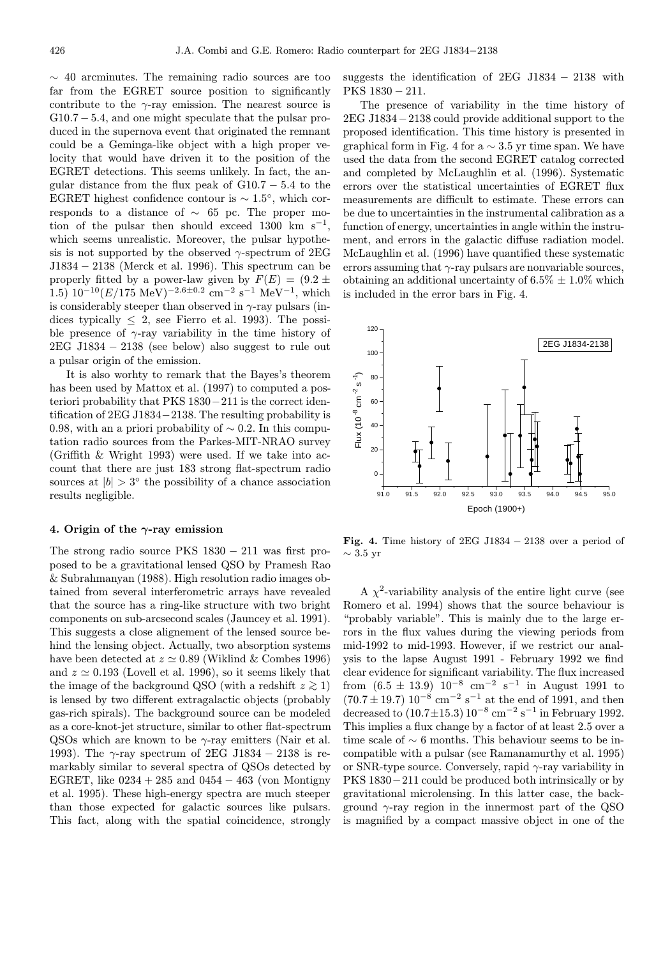$\sim$  40 arcminutes. The remaining radio sources are too far from the EGRET source position to significantly contribute to the  $\gamma$ -ray emission. The nearest source is  $G10.7 - 5.4$ , and one might speculate that the pulsar produced in the supernova event that originated the remnant could be a Geminga-like object with a high proper velocity that would have driven it to the position of the EGRET detections. This seems unlikely. In fact, the angular distance from the flux peak of  $G10.7 - 5.4$  to the EGRET highest confidence contour is  $\sim 1.5^{\circ}$ , which corresponds to a distance of ∼ 65 pc. The proper motion of the pulsar then should exceed 1300 km s<sup>-1</sup>, which seems unrealistic. Moreover, the pulsar hypothesis is not supported by the observed  $\gamma$ -spectrum of 2EG J1834 − 2138 (Merck et al. 1996). This spectrum can be properly fitted by a power-law given by  $F(E) = (9.2 \pm$  $1.5)$   $10^{-10} (E/175 \text{ MeV})^{-2.6\pm0.2} \text{ cm}^{-2} \text{ s}^{-1} \text{ MeV}^{-1}$ , which is considerably steeper than observed in  $\gamma$ -ray pulsars (indices typically  $\leq 2$ , see Fierro et al. 1993). The possible presence of  $\gamma$ -ray variability in the time history of  $2EG$  J1834  $-$  2138 (see below) also suggest to rule out a pulsar origin of the emission.

It is also worhty to remark that the Bayes's theorem has been used by Mattox et al. (1997) to computed a posteriori probability that PKS 1830−211 is the correct identification of 2EG J1834−2138. The resulting probability is 0.98, with an a priori probability of  $\sim$  0.2. In this computation radio sources from the Parkes-MIT-NRAO survey (Griffith & Wright 1993) were used. If we take into account that there are just 183 strong flat-spectrum radio sources at  $|b| > 3^\circ$  the possibility of a chance association results negligible.

### 4. Origin of the  $\gamma$ -ray emission

The strong radio source PKS 1830 − 211 was first proposed to be a gravitational lensed QSO by Pramesh Rao & Subrahmanyan (1988). High resolution radio images obtained from several interferometric arrays have revealed that the source has a ring-like structure with two bright components on sub-arcsecond scales (Jauncey et al. 1991). This suggests a close alignement of the lensed source behind the lensing object. Actually, two absorption systems have been detected at  $z \approx 0.89$  (Wiklind & Combes 1996) and  $z \approx 0.193$  (Lovell et al. 1996), so it seems likely that the image of the background QSO (with a redshift  $z \ge 1$ ) is lensed by two different extragalactic objects (probably gas-rich spirals). The background source can be modeled as a core-knot-jet structure, similar to other flat-spectrum QSOs which are known to be  $\gamma$ -ray emitters (Nair et al. 1993). The  $\gamma$ -ray spectrum of 2EG J1834 – 2138 is remarkably similar to several spectra of QSOs detected by EGRET, like  $0234 + 285$  and  $0454 - 463$  (von Montigny et al. 1995). These high-energy spectra are much steeper than those expected for galactic sources like pulsars. This fact, along with the spatial coincidence, strongly

suggests the identification of  $2EG$  J1834  $-$  2138 with PKS 1830 − 211.

The presence of variability in the time history of 2EG J1834−2138 could provide additional support to the proposed identification. This time history is presented in graphical form in Fig. 4 for a  $\sim$  3.5 yr time span. We have used the data from the second EGRET catalog corrected and completed by McLaughlin et al. (1996). Systematic errors over the statistical uncertainties of EGRET flux measurements are difficult to estimate. These errors can be due to uncertainties in the instrumental calibration as a function of energy, uncertainties in angle within the instrument, and errors in the galactic diffuse radiation model. McLaughlin et al. (1996) have quantified these systematic errors assuming that  $\gamma$ -ray pulsars are nonvariable sources, obtaining an additional uncertainty of  $6.5\% \pm 1.0\%$  which is included in the error bars in Fig. 4.



Fig. 4. Time history of  $2EG$  J1834  $- 2138$  over a period of  $\sim$  3.5 yr

A  $\chi^2$ -variability analysis of the entire light curve (see Romero et al. 1994) shows that the source behaviour is "probably variable". This is mainly due to the large errors in the flux values during the viewing periods from mid-1992 to mid-1993. However, if we restrict our analysis to the lapse August 1991 - February 1992 we find clear evidence for significant variability. The flux increased from  $(6.5 \pm 13.9)$   $10^{-8}$  cm<sup>-2</sup> s<sup>-1</sup> in August 1991 to  $(70.7 \pm 19.7)$  10<sup>-8</sup> cm<sup>-2</sup> s<sup>-1</sup> at the end of 1991, and then decreased to  $(10.7 \pm 15.3) 10^{-8}$  cm<sup>-2</sup> s<sup>-1</sup> in February 1992. This implies a flux change by a factor of at least 2.5 over a time scale of  $\sim$  6 months. This behaviour seems to be incompatible with a pulsar (see Ramanamurthy et al. 1995) or SNR-type source. Conversely, rapid  $\gamma$ -ray variability in PKS 1830−211 could be produced both intrinsically or by gravitational microlensing. In this latter case, the background  $\gamma$ -ray region in the innermost part of the QSO is magnified by a compact massive object in one of the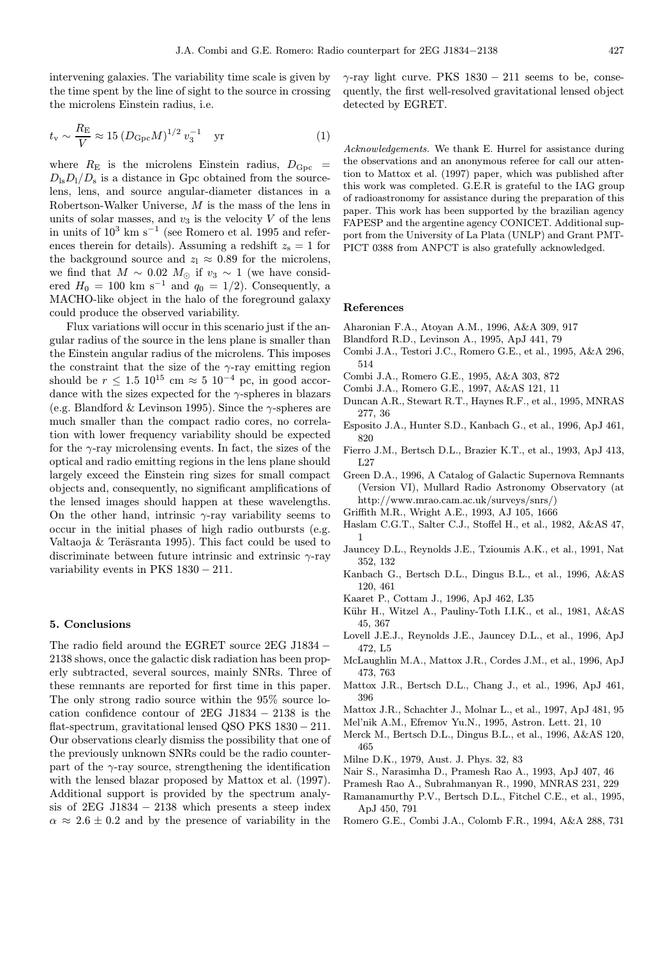intervening galaxies. The variability time scale is given by the time spent by the line of sight to the source in crossing the microlens Einstein radius, i.e.

$$
t_v \sim \frac{R_E}{V} \approx 15 \left( D_{\text{Gpc}} M \right)^{1/2} v_3^{-1}
$$
 yr (1)

where  $R_{\rm E}$  is the microlens Einstein radius,  $D_{\rm Gpc}$  =  $D_{\rm ls}D_{\rm l}/D_{\rm s}$  is a distance in Gpc obtained from the sourcelens, lens, and source angular-diameter distances in a Robertson-Walker Universe, M is the mass of the lens in units of solar masses, and  $v_3$  is the velocity V of the lens in units of  $10^3$  km s<sup>-1</sup> (see Romero et al. 1995 and references therein for details). Assuming a redshift  $z_s = 1$  for the background source and  $z_1 \approx 0.89$  for the microlens, we find that  $M \sim 0.02 M_{\odot}$  if  $v_3 \sim 1$  (we have considered  $H_0 = 100 \text{ km s}^{-1}$  and  $q_0 = 1/2$ ). Consequently, a MACHO-like object in the halo of the foreground galaxy could produce the observed variability.

Flux variations will occur in this scenario just if the angular radius of the source in the lens plane is smaller than the Einstein angular radius of the microlens. This imposes the constraint that the size of the  $\gamma$ -ray emitting region should be  $r \leq 1.5 \cdot 10^{15}$  cm  $\approx 5 \cdot 10^{-4}$  pc, in good accordance with the sizes expected for the  $\gamma$ -spheres in blazars (e.g. Blandford & Levinson 1995). Since the  $\gamma$ -spheres are much smaller than the compact radio cores, no correlation with lower frequency variability should be expected for the  $\gamma$ -ray microlensing events. In fact, the sizes of the optical and radio emitting regions in the lens plane should largely exceed the Einstein ring sizes for small compact objects and, consequently, no significant amplifications of the lensed images should happen at these wavelengths. On the other hand, intrinsic  $\gamma$ -ray variability seems to occur in the initial phases of high radio outbursts (e.g. Valtaoja  $&$  Teräsranta 1995). This fact could be used to discriminate between future intrinsic and extrinsic  $\gamma$ -ray variability events in PKS 1830 − 211.

#### 5. Conclusions

The radio field around the EGRET source 2EG J1834 − 2138 shows, once the galactic disk radiation has been properly subtracted, several sources, mainly SNRs. Three of these remnants are reported for first time in this paper. The only strong radio source within the 95% source location confidence contour of 2EG J1834 − 2138 is the flat-spectrum, gravitational lensed QSO PKS 1830 − 211. Our observations clearly dismiss the possibility that one of the previously unknown SNRs could be the radio counterpart of the  $\gamma$ -ray source, strengthening the identification with the lensed blazar proposed by Mattox et al. (1997). Additional support is provided by the spectrum analysis of  $2EG$  J1834  $-$  2138 which presents a steep index  $\alpha \approx 2.6 \pm 0.2$  and by the presence of variability in the

 $\gamma$ -ray light curve. PKS 1830 – 211 seems to be, consequently, the first well-resolved gravitational lensed object detected by EGRET.

Acknowledgements. We thank E. Hurrel for assistance during the observations and an anonymous referee for call our attention to Mattox et al. (1997) paper, which was published after this work was completed. G.E.R is grateful to the IAG group of radioastronomy for assistance during the preparation of this paper. This work has been supported by the brazilian agency FAPESP and the argentine agency CONICET. Additional support from the University of La Plata (UNLP) and Grant PMT-PICT 0388 from ANPCT is also gratefully acknowledged.

#### References

- Aharonian F.A., Atoyan A.M., 1996, A&A 309, 917
- Blandford R.D., Levinson A., 1995, ApJ 441, 79
- Combi J.A., Testori J.C., Romero G.E., et al., 1995, A&A 296, 514
- Combi J.A., Romero G.E., 1995, A&A 303, 872
- Combi J.A., Romero G.E., 1997, A&AS 121, 11
- Duncan A.R., Stewart R.T., Haynes R.F., et al., 1995, MNRAS 277, 36
- Esposito J.A., Hunter S.D., Kanbach G., et al., 1996, ApJ 461, 820
- Fierro J.M., Bertsch D.L., Brazier K.T., et al., 1993, ApJ 413, L27
- Green D.A., 1996, A Catalog of Galactic Supernova Remnants (Version VI), Mullard Radio Astronomy Observatory (at http://www.mrao.cam.ac.uk/surveys/snrs/)
- Griffith M.R., Wright A.E., 1993, AJ 105, 1666
- Haslam C.G.T., Salter C.J., Stoffel H., et al., 1982, A&AS 47, 1
- Jauncey D.L., Reynolds J.E., Tzioumis A.K., et al., 1991, Nat 352, 132
- Kanbach G., Bertsch D.L., Dingus B.L., et al., 1996, A&AS 120, 461
- Kaaret P., Cottam J., 1996, ApJ 462, L35
- Kühr H., Witzel A., Pauliny-Toth I.I.K., et al., 1981, A&AS 45, 367
- Lovell J.E.J., Reynolds J.E., Jauncey D.L., et al., 1996, ApJ 472, L5
- McLaughlin M.A., Mattox J.R., Cordes J.M., et al., 1996, ApJ 473, 763
- Mattox J.R., Bertsch D.L., Chang J., et al., 1996, ApJ 461, 396
- Mattox J.R., Schachter J., Molnar L., et al., 1997, ApJ 481, 95
- Mel'nik A.M., Efremov Yu.N., 1995, Astron. Lett. 21, 10
- Merck M., Bertsch D.L., Dingus B.L., et al., 1996, A&AS 120, 465
- Milne D.K., 1979, Aust. J. Phys. 32, 83
- Nair S., Narasimha D., Pramesh Rao A., 1993, ApJ 407, 46
- Pramesh Rao A., Subrahmanyan R., 1990, MNRAS 231, 229
- Ramanamurthy P.V., Bertsch D.L., Fitchel C.E., et al., 1995, ApJ 450, 791
- Romero G.E., Combi J.A., Colomb F.R., 1994, A&A 288, 731